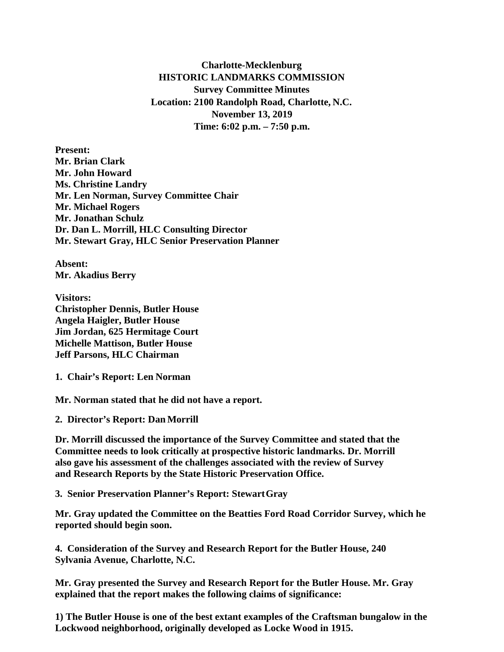**Charlotte-Mecklenburg HISTORIC LANDMARKS COMMISSION Survey Committee Minutes Location: 2100 Randolph Road, Charlotte, N.C. November 13, 2019 Time: 6:02 p.m. – 7:50 p.m.**

**Present: Mr. Brian Clark Mr. John Howard Ms. Christine Landry Mr. Len Norman, Survey Committee Chair Mr. Michael Rogers Mr. Jonathan Schulz Dr. Dan L. Morrill, HLC Consulting Director Mr. Stewart Gray, HLC Senior Preservation Planner**

**Absent: Mr. Akadius Berry**

**Visitors: Christopher Dennis, Butler House Angela Haigler, Butler House Jim Jordan, 625 Hermitage Court Michelle Mattison, Butler House Jeff Parsons, HLC Chairman** 

**1. Chair's Report: Len Norman**

**Mr. Norman stated that he did not have a report.** 

**2. Director's Report: Dan Morrill**

**Dr. Morrill discussed the importance of the Survey Committee and stated that the Committee needs to look critically at prospective historic landmarks. Dr. Morrill also gave his assessment of the challenges associated with the review of Survey and Research Reports by the State Historic Preservation Office.** 

**3. Senior Preservation Planner's Report: StewartGray**

**Mr. Gray updated the Committee on the Beatties Ford Road Corridor Survey, which he reported should begin soon.**

**4. Consideration of the Survey and Research Report for the Butler House, 240 Sylvania Avenue, Charlotte, N.C.**

**Mr. Gray presented the Survey and Research Report for the Butler House. Mr. Gray explained that the report makes the following claims of significance:** 

**1) The Butler House is one of the best extant examples of the Craftsman bungalow in the Lockwood neighborhood, originally developed as Locke Wood in 1915.**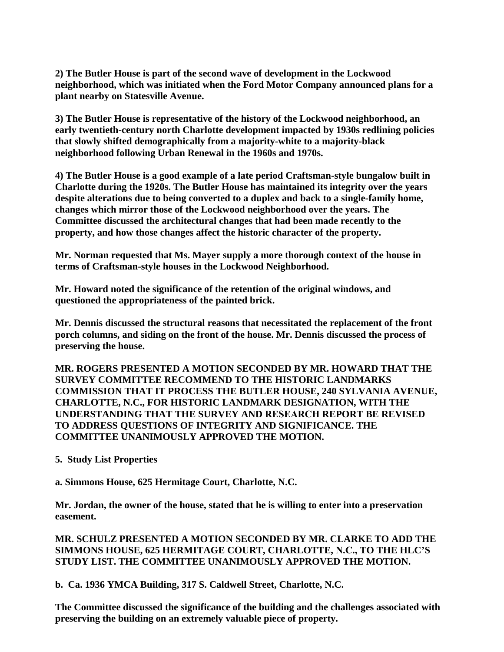**2) The Butler House is part of the second wave of development in the Lockwood neighborhood, which was initiated when the Ford Motor Company announced plans for a plant nearby on Statesville Avenue.**

**3) The Butler House is representative of the history of the Lockwood neighborhood, an early twentieth-century north Charlotte development impacted by 1930s redlining policies that slowly shifted demographically from a majority-white to a majority-black neighborhood following Urban Renewal in the 1960s and 1970s.**

**4) The Butler House is a good example of a late period Craftsman-style bungalow built in Charlotte during the 1920s. The Butler House has maintained its integrity over the years despite alterations due to being converted to a duplex and back to a single-family home, changes which mirror those of the Lockwood neighborhood over the years. The Committee discussed the architectural changes that had been made recently to the property, and how those changes affect the historic character of the property.**

**Mr. Norman requested that Ms. Mayer supply a more thorough context of the house in terms of Craftsman-style houses in the Lockwood Neighborhood.**

**Mr. Howard noted the significance of the retention of the original windows, and questioned the appropriateness of the painted brick.**

**Mr. Dennis discussed the structural reasons that necessitated the replacement of the front porch columns, and siding on the front of the house. Mr. Dennis discussed the process of preserving the house.**

**MR. ROGERS PRESENTED A MOTION SECONDED BY MR. HOWARD THAT THE SURVEY COMMITTEE RECOMMEND TO THE HISTORIC LANDMARKS COMMISSION THAT IT PROCESS THE BUTLER HOUSE, 240 SYLVANIA AVENUE, CHARLOTTE, N.C., FOR HISTORIC LANDMARK DESIGNATION, WITH THE UNDERSTANDING THAT THE SURVEY AND RESEARCH REPORT BE REVISED TO ADDRESS QUESTIONS OF INTEGRITY AND SIGNIFICANCE. THE COMMITTEE UNANIMOUSLY APPROVED THE MOTION.** 

## **5. Study List Properties**

**a. Simmons House, 625 Hermitage Court, Charlotte, N.C.**

**Mr. Jordan, the owner of the house, stated that he is willing to enter into a preservation easement.**

**MR. SCHULZ PRESENTED A MOTION SECONDED BY MR. CLARKE TO ADD THE SIMMONS HOUSE, 625 HERMITAGE COURT, CHARLOTTE, N.C., TO THE HLC'S STUDY LIST. THE COMMITTEE UNANIMOUSLY APPROVED THE MOTION.** 

**b. Ca. 1936 YMCA Building, 317 S. Caldwell Street, Charlotte, N.C.**

**The Committee discussed the significance of the building and the challenges associated with preserving the building on an extremely valuable piece of property.**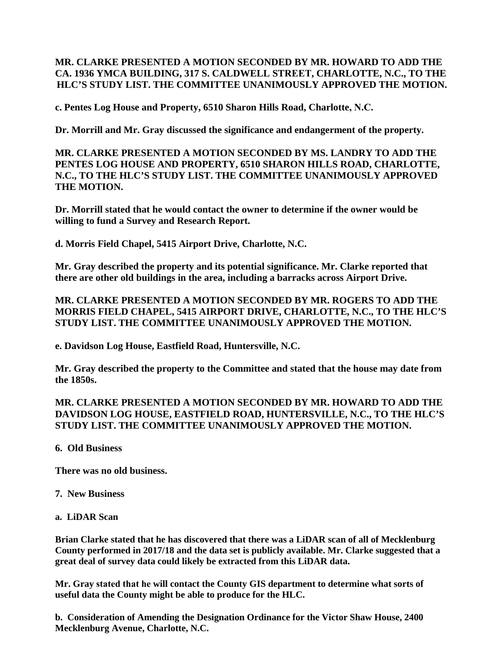## **MR. CLARKE PRESENTED A MOTION SECONDED BY MR. HOWARD TO ADD THE CA. 1936 YMCA BUILDING, 317 S. CALDWELL STREET, CHARLOTTE, N.C., TO THE HLC'S STUDY LIST. THE COMMITTEE UNANIMOUSLY APPROVED THE MOTION.**

**c. Pentes Log House and Property, 6510 Sharon Hills Road, Charlotte, N.C.**

**Dr. Morrill and Mr. Gray discussed the significance and endangerment of the property.**

**MR. CLARKE PRESENTED A MOTION SECONDED BY MS. LANDRY TO ADD THE PENTES LOG HOUSE AND PROPERTY, 6510 SHARON HILLS ROAD, CHARLOTTE, N.C., TO THE HLC'S STUDY LIST. THE COMMITTEE UNANIMOUSLY APPROVED THE MOTION.**

**Dr. Morrill stated that he would contact the owner to determine if the owner would be willing to fund a Survey and Research Report.**

**d. Morris Field Chapel, 5415 Airport Drive, Charlotte, N.C.**

**Mr. Gray described the property and its potential significance. Mr. Clarke reported that there are other old buildings in the area, including a barracks across Airport Drive.** 

**MR. CLARKE PRESENTED A MOTION SECONDED BY MR. ROGERS TO ADD THE MORRIS FIELD CHAPEL, 5415 AIRPORT DRIVE, CHARLOTTE, N.C., TO THE HLC'S STUDY LIST. THE COMMITTEE UNANIMOUSLY APPROVED THE MOTION.**

**e. Davidson Log House, Eastfield Road, Huntersville, N.C.**

**Mr. Gray described the property to the Committee and stated that the house may date from the 1850s.** 

**MR. CLARKE PRESENTED A MOTION SECONDED BY MR. HOWARD TO ADD THE DAVIDSON LOG HOUSE, EASTFIELD ROAD, HUNTERSVILLE, N.C., TO THE HLC'S STUDY LIST. THE COMMITTEE UNANIMOUSLY APPROVED THE MOTION.**

**6. Old Business**

**There was no old business.**

**7. New Business**

**a. LiDAR Scan**

**Brian Clarke stated that he has discovered that there was a LiDAR scan of all of Mecklenburg County performed in 2017/18 and the data set is publicly available. Mr. Clarke suggested that a great deal of survey data could likely be extracted from this LiDAR data.** 

**Mr. Gray stated that he will contact the County GIS department to determine what sorts of useful data the County might be able to produce for the HLC.** 

**b. Consideration of Amending the Designation Ordinance for the Victor Shaw House, 2400 Mecklenburg Avenue, Charlotte, N.C.**